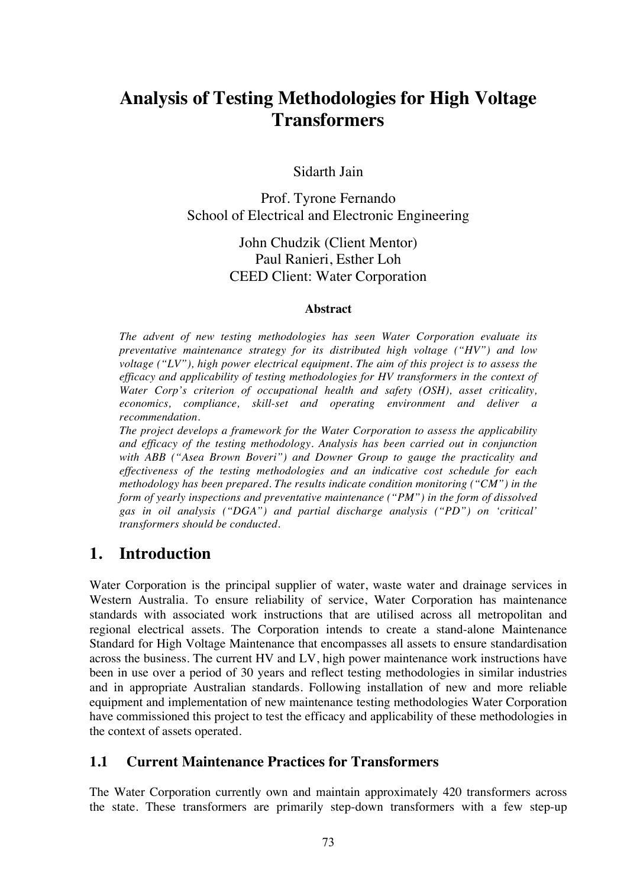# **Analysis of Testing Methodologies for High Voltage Transformers**

Sidarth Jain

Prof. Tyrone Fernando School of Electrical and Electronic Engineering

> John Chudzik (Client Mentor) Paul Ranieri, Esther Loh CEED Client: Water Corporation

#### **Abstract**

*The advent of new testing methodologies has seen Water Corporation evaluate its preventative maintenance strategy for its distributed high voltage ("HV") and low voltage ("LV"), high power electrical equipment. The aim of this project is to assess the efficacy and applicability of testing methodologies for HV transformers in the context of Water Corp's criterion of occupational health and safety (OSH), asset criticality, economics, compliance, skill-set and operating environment and deliver a recommendation.*

*The project develops a framework for the Water Corporation to assess the applicability and efficacy of the testing methodology. Analysis has been carried out in conjunction with ABB ("Asea Brown Boveri") and Downer Group to gauge the practicality and effectiveness of the testing methodologies and an indicative cost schedule for each methodology has been prepared. The results indicate condition monitoring ("CM") in the form of yearly inspections and preventative maintenance ("PM") in the form of dissolved gas in oil analysis ("DGA") and partial discharge analysis ("PD") on 'critical' transformers should be conducted.*

### **1. Introduction**

Water Corporation is the principal supplier of water, waste water and drainage services in Western Australia. To ensure reliability of service, Water Corporation has maintenance standards with associated work instructions that are utilised across all metropolitan and regional electrical assets. The Corporation intends to create a stand-alone Maintenance Standard for High Voltage Maintenance that encompasses all assets to ensure standardisation across the business. The current HV and LV, high power maintenance work instructions have been in use over a period of 30 years and reflect testing methodologies in similar industries and in appropriate Australian standards. Following installation of new and more reliable equipment and implementation of new maintenance testing methodologies Water Corporation have commissioned this project to test the efficacy and applicability of these methodologies in the context of assets operated.

#### **1.1 Current Maintenance Practices for Transformers**

The Water Corporation currently own and maintain approximately 420 transformers across the state. These transformers are primarily step-down transformers with a few step-up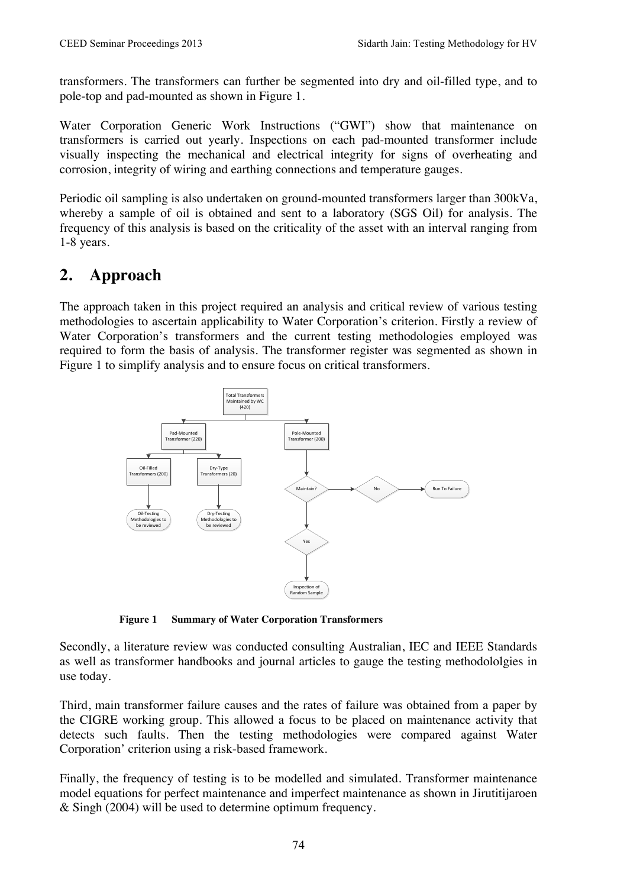transformers. The transformers can further be segmented into dry and oil-filled type, and to pole-top and pad-mounted as shown in Figure 1.

Water Corporation Generic Work Instructions ("GWI") show that maintenance on transformers is carried out yearly. Inspections on each pad-mounted transformer include visually inspecting the mechanical and electrical integrity for signs of overheating and corrosion, integrity of wiring and earthing connections and temperature gauges.

Periodic oil sampling is also undertaken on ground-mounted transformers larger than 300kVa, whereby a sample of oil is obtained and sent to a laboratory (SGS Oil) for analysis. The frequency of this analysis is based on the criticality of the asset with an interval ranging from 1-8 years.

## **2. Approach**

The approach taken in this project required an analysis and critical review of various testing methodologies to ascertain applicability to Water Corporation's criterion. Firstly a review of Water Corporation's transformers and the current testing methodologies employed was required to form the basis of analysis. The transformer register was segmented as shown in Figure 1 to simplify analysis and to ensure focus on critical transformers.



**Figure 1 Summary of Water Corporation Transformers**

Secondly, a literature review was conducted consulting Australian, IEC and IEEE Standards as well as transformer handbooks and journal articles to gauge the testing methodololgies in use today.

Third, main transformer failure causes and the rates of failure was obtained from a paper by the CIGRE working group. This allowed a focus to be placed on maintenance activity that detects such faults. Then the testing methodologies were compared against Water Corporation' criterion using a risk-based framework.

Finally, the frequency of testing is to be modelled and simulated. Transformer maintenance model equations for perfect maintenance and imperfect maintenance as shown in Jirutitijaroen & Singh (2004) will be used to determine optimum frequency.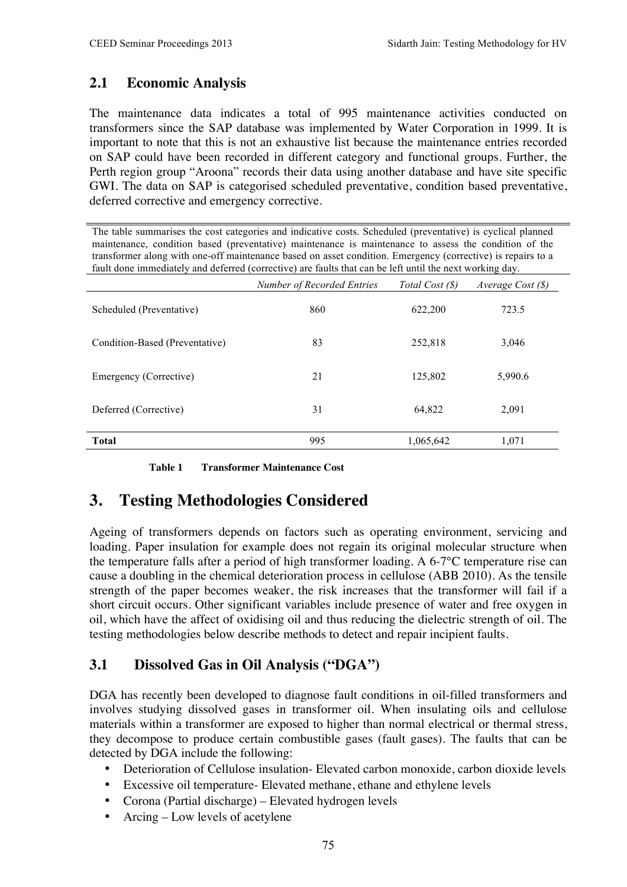### **2.1 Economic Analysis**

The maintenance data indicates a total of 995 maintenance activities conducted on transformers since the SAP database was implemented by Water Corporation in 1999. It is important to note that this is not an exhaustive list because the maintenance entries recorded on SAP could have been recorded in different category and functional groups. Further, the Perth region group "Aroona" records their data using another database and have site specific GWI. The data on SAP is categorised scheduled preventative, condition based preventative, deferred corrective and emergency corrective.

The table summarises the cost categories and indicative costs. Scheduled (preventative) is cyclical planned maintenance, condition based (preventative) maintenance is maintenance to assess the condition of the transformer along with one-off maintenance based on asset condition. Emergency (corrective) is repairs to a fault done immediately and deferred (corrective) are faults that can be left until the next working day.

|                                | Number of Recorded Entries | Total Cost (\$) | Average Cost $(\mathcal{S})$ |
|--------------------------------|----------------------------|-----------------|------------------------------|
| Scheduled (Preventative)       | 860                        | 622,200         | 723.5                        |
| Condition-Based (Preventative) | 83                         | 252,818         | 3,046                        |
| Emergency (Corrective)         | 21                         | 125,802         | 5,990.6                      |
| Deferred (Corrective)          | 31                         | 64,822          | 2,091                        |
| <b>Total</b>                   | 995                        | 1,065,642       | 1,071                        |

**Table 1 Transformer Maintenance Cost** 

## **3. Testing Methodologies Considered**

Ageing of transformers depends on factors such as operating environment, servicing and loading. Paper insulation for example does not regain its original molecular structure when the temperature falls after a period of high transformer loading. A 6-7°C temperature rise can cause a doubling in the chemical deterioration process in cellulose (ABB 2010). As the tensile strength of the paper becomes weaker, the risk increases that the transformer will fail if a short circuit occurs. Other significant variables include presence of water and free oxygen in oil, which have the affect of oxidising oil and thus reducing the dielectric strength of oil. The testing methodologies below describe methods to detect and repair incipient faults.

### **3.1 Dissolved Gas in Oil Analysis ("DGA")**

DGA has recently been developed to diagnose fault conditions in oil-filled transformers and involves studying dissolved gases in transformer oil. When insulating oils and cellulose materials within a transformer are exposed to higher than normal electrical or thermal stress, they decompose to produce certain combustible gases (fault gases). The faults that can be detected by DGA include the following:

- Deterioration of Cellulose insulation- Elevated carbon monoxide, carbon dioxide levels
- Excessive oil temperature- Elevated methane, ethane and ethylene levels
- Corona (Partial discharge) Elevated hydrogen levels
- Arcing Low levels of acetylene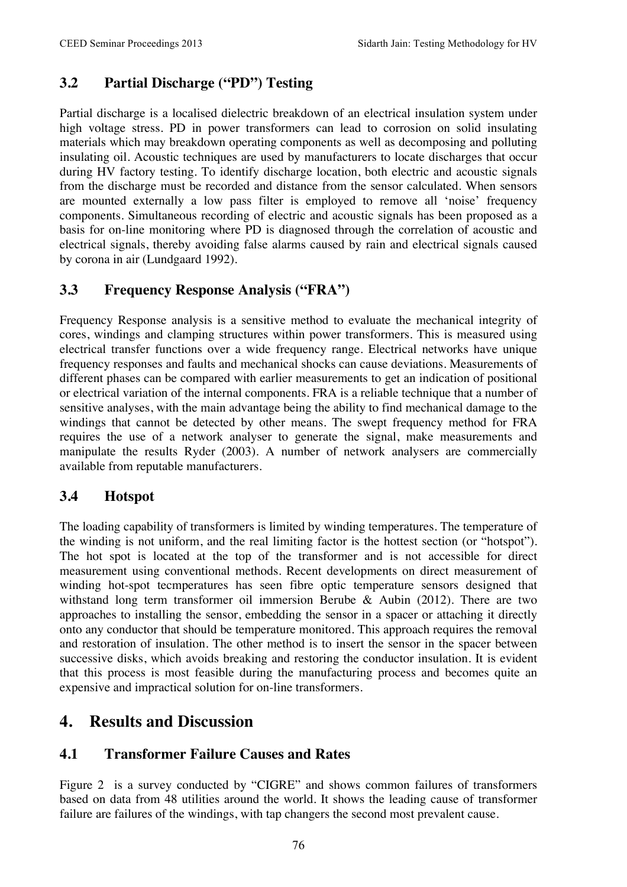### **3.2 Partial Discharge ("PD") Testing**

Partial discharge is a localised dielectric breakdown of an electrical insulation system under high voltage stress. PD in power transformers can lead to corrosion on solid insulating materials which may breakdown operating components as well as decomposing and polluting insulating oil. Acoustic techniques are used by manufacturers to locate discharges that occur during HV factory testing. To identify discharge location, both electric and acoustic signals from the discharge must be recorded and distance from the sensor calculated. When sensors are mounted externally a low pass filter is employed to remove all 'noise' frequency components. Simultaneous recording of electric and acoustic signals has been proposed as a basis for on-line monitoring where PD is diagnosed through the correlation of acoustic and electrical signals, thereby avoiding false alarms caused by rain and electrical signals caused by corona in air (Lundgaard 1992).

### **3.3 Frequency Response Analysis ("FRA")**

Frequency Response analysis is a sensitive method to evaluate the mechanical integrity of cores, windings and clamping structures within power transformers. This is measured using electrical transfer functions over a wide frequency range. Electrical networks have unique frequency responses and faults and mechanical shocks can cause deviations. Measurements of different phases can be compared with earlier measurements to get an indication of positional or electrical variation of the internal components. FRA is a reliable technique that a number of sensitive analyses, with the main advantage being the ability to find mechanical damage to the windings that cannot be detected by other means. The swept frequency method for FRA requires the use of a network analyser to generate the signal, make measurements and manipulate the results Ryder (2003). A number of network analysers are commercially available from reputable manufacturers.

### **3.4 Hotspot**

The loading capability of transformers is limited by winding temperatures. The temperature of the winding is not uniform, and the real limiting factor is the hottest section (or "hotspot"). The hot spot is located at the top of the transformer and is not accessible for direct measurement using conventional methods. Recent developments on direct measurement of winding hot-spot tecmperatures has seen fibre optic temperature sensors designed that withstand long term transformer oil immersion Berube & Aubin (2012). There are two approaches to installing the sensor, embedding the sensor in a spacer or attaching it directly onto any conductor that should be temperature monitored. This approach requires the removal and restoration of insulation. The other method is to insert the sensor in the spacer between successive disks, which avoids breaking and restoring the conductor insulation. It is evident that this process is most feasible during the manufacturing process and becomes quite an expensive and impractical solution for on-line transformers.

## **4. Results and Discussion**

#### **4.1 Transformer Failure Causes and Rates**

Figure 2 is a survey conducted by "CIGRE" and shows common failures of transformers based on data from 48 utilities around the world. It shows the leading cause of transformer failure are failures of the windings, with tap changers the second most prevalent cause.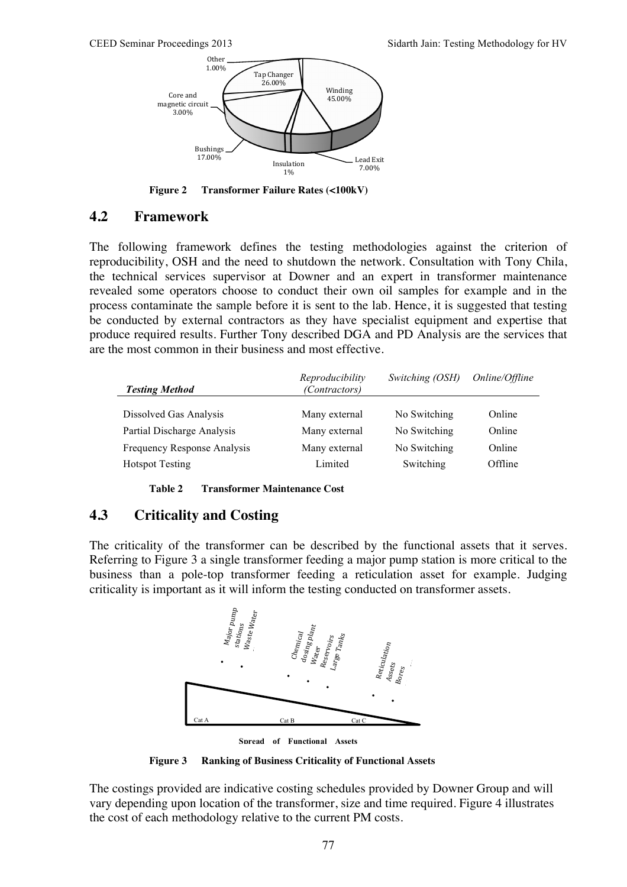

**Figure 2 Transformer Failure Rates (<100kV)**

#### **4.2 Framework**

The following framework defines the testing methodologies against the criterion of reproducibility, OSH and the need to shutdown the network. Consultation with Tony Chila, the technical services supervisor at Downer and an expert in transformer maintenance revealed some operators choose to conduct their own oil samples for example and in the process contaminate the sample before it is sent to the lab. Hence, it is suggested that testing be conducted by external contractors as they have specialist equipment and expertise that produce required results. Further Tony described DGA and PD Analysis are the services that are the most common in their business and most effective.

| <b>Testing Method</b>       | Reproducibility<br>(Contractors) | Switching (OSH) | Online/Offline |
|-----------------------------|----------------------------------|-----------------|----------------|
|                             |                                  |                 |                |
| Dissolved Gas Analysis      | Many external                    | No Switching    | Online         |
| Partial Discharge Analysis  | Many external                    | No Switching    | Online         |
| Frequency Response Analysis | Many external                    | No Switching    | Online         |
| <b>Hotspot Testing</b>      | Limited                          | Switching       | Offline        |

**Table 2 Transformer Maintenance Cost** 

#### **4.3 Criticality and Costing**

The criticality of the transformer can be described by the functional assets that it serves. Referring to Figure 3 a single transformer feeding a major pump station is more critical to the business than a pole-top transformer feeding a reticulation asset for example. Judging criticality is important as it will inform the testing conducted on transformer assets.



**Spread of Functional Assets**

**Figure 3 Ranking of Business Criticality of Functional Assets**

The costings provided are indicative costing schedules provided by Downer Group and will vary depending upon location of the transformer, size and time required. Figure 4 illustrates the cost of each methodology relative to the current PM costs.